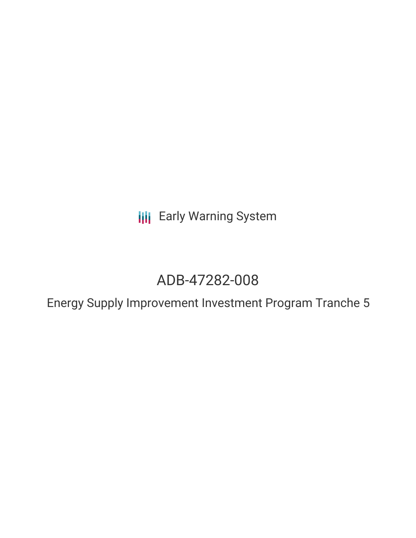**III** Early Warning System

# ADB-47282-008

Energy Supply Improvement Investment Program Tranche 5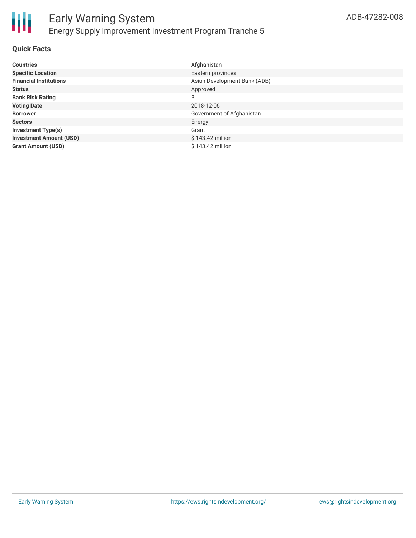

### **Quick Facts**

| <b>Countries</b>               | Afghanistan                  |
|--------------------------------|------------------------------|
| <b>Specific Location</b>       | Eastern provinces            |
| <b>Financial Institutions</b>  | Asian Development Bank (ADB) |
| <b>Status</b>                  | Approved                     |
| <b>Bank Risk Rating</b>        | B                            |
| <b>Voting Date</b>             | 2018-12-06                   |
| <b>Borrower</b>                | Government of Afghanistan    |
| <b>Sectors</b>                 | Energy                       |
| <b>Investment Type(s)</b>      | Grant                        |
| <b>Investment Amount (USD)</b> | \$143.42 million             |
| <b>Grant Amount (USD)</b>      | \$143.42 million             |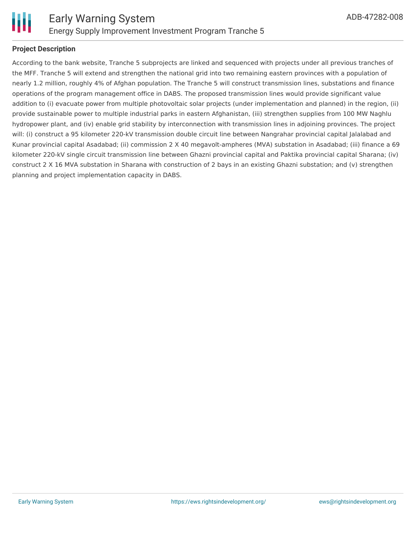

### **Project Description**

According to the bank website, Tranche 5 subprojects are linked and sequenced with projects under all previous tranches of the MFF. Tranche 5 will extend and strengthen the national grid into two remaining eastern provinces with a population of nearly 1.2 million, roughly 4% of Afghan population. The Tranche 5 will construct transmission lines, substations and finance operations of the program management office in DABS. The proposed transmission lines would provide significant value addition to (i) evacuate power from multiple photovoltaic solar projects (under implementation and planned) in the region, (ii) provide sustainable power to multiple industrial parks in eastern Afghanistan, (iii) strengthen supplies from 100 MW Naghlu hydropower plant, and (iv) enable grid stability by interconnection with transmission lines in adjoining provinces. The project will: (i) construct a 95 kilometer 220-kV transmission double circuit line between Nangrahar provincial capital Jalalabad and Kunar provincial capital Asadabad; (ii) commission 2 X 40 megavolt-ampheres (MVA) substation in Asadabad; (iii) finance a 69 kilometer 220-kV single circuit transmission line between Ghazni provincial capital and Paktika provincial capital Sharana; (iv) construct 2 X 16 MVA substation in Sharana with construction of 2 bays in an existing Ghazni substation; and (v) strengthen planning and project implementation capacity in DABS.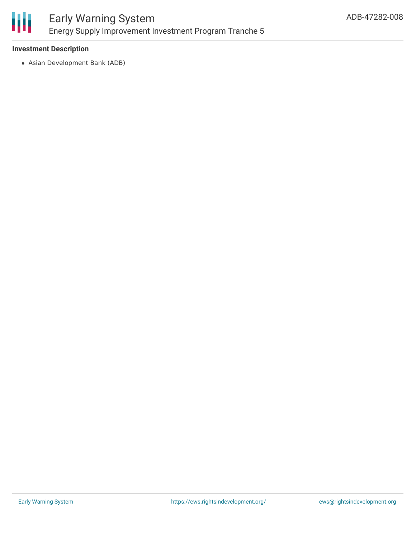

### Early Warning System Energy Supply Improvement Investment Program Tranche 5

### **Investment Description**

Asian Development Bank (ADB)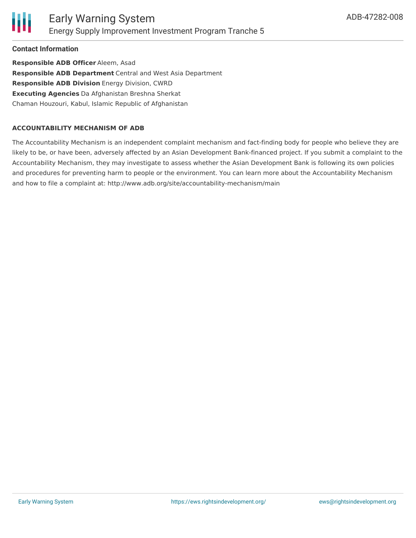**Contact Information**

**Responsible ADB Officer** Aleem, Asad **Responsible ADB Department** Central and West Asia Department **Responsible ADB Division** Energy Division, CWRD **Executing Agencies** Da Afghanistan Breshna Sherkat Chaman Houzouri, Kabul, Islamic Republic of Afghanistan

### **ACCOUNTABILITY MECHANISM OF ADB**

The Accountability Mechanism is an independent complaint mechanism and fact-finding body for people who believe they are likely to be, or have been, adversely affected by an Asian Development Bank-financed project. If you submit a complaint to the Accountability Mechanism, they may investigate to assess whether the Asian Development Bank is following its own policies and procedures for preventing harm to people or the environment. You can learn more about the Accountability Mechanism and how to file a complaint at: http://www.adb.org/site/accountability-mechanism/main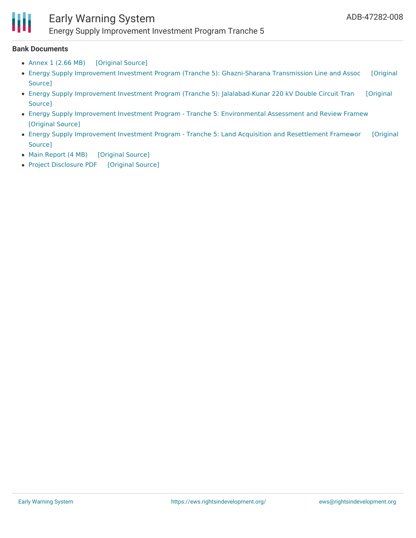## Early Warning System

Energy Supply Improvement Investment Program Tranche 5

#### **Bank Documents**

- [Annex](https://ewsdata.rightsindevelopment.org/files/documents/08/ADB-47282-008_Vm0EwBp.pdf) 1 (2.66 MB) [\[Original](https://www.adb.org/projects/documents/afg-47282-008-rp) Source]
- Energy Supply Improvement Investment Program (Tranche 5): [Ghazni-Sharana](https://www.adb.org/projects/documents/afg-47282-008-iee-0) Transmission Line and Assoc [Original Source]
- Energy Supply Improvement Investment Program (Tranche 5): [Jalalabad-Kunar](https://www.adb.org/projects/documents/afg-47282-008-iee) 220 kV Double Circuit Tran [Original Source]
- Energy Supply Improvement Investment Program Tranche 5: [Environmental](https://ewsdata.rightsindevelopment.org/files/documents/08/ADB-47282-008_G5HxCj0.pdf) Assessment and Review Framew [\[Original](https://www.adb.org/projects/documents/afg-47282-008-earf) Source]
- Energy Supply [Improvement](https://www.adb.org/projects/documents/afg-47282-008-rf) Investment Program Tranche 5: Land Acquisition and Resettlement Framewor [Original Source]
- Main [Report](https://ewsdata.rightsindevelopment.org/files/documents/08/ADB-47282-008_kOKdJZh.pdf) (4 MB) [\[Original](https://www.adb.org/projects/documents/afg-47282-008-rp) Source]
- Project [Disclosure](https://ewsdata.rightsindevelopment.org/files/documents/08/ADB-47282-008.pdf) PDF [\[Original](https://www.adb.org/printpdf/projects/47282-008/main) Source]